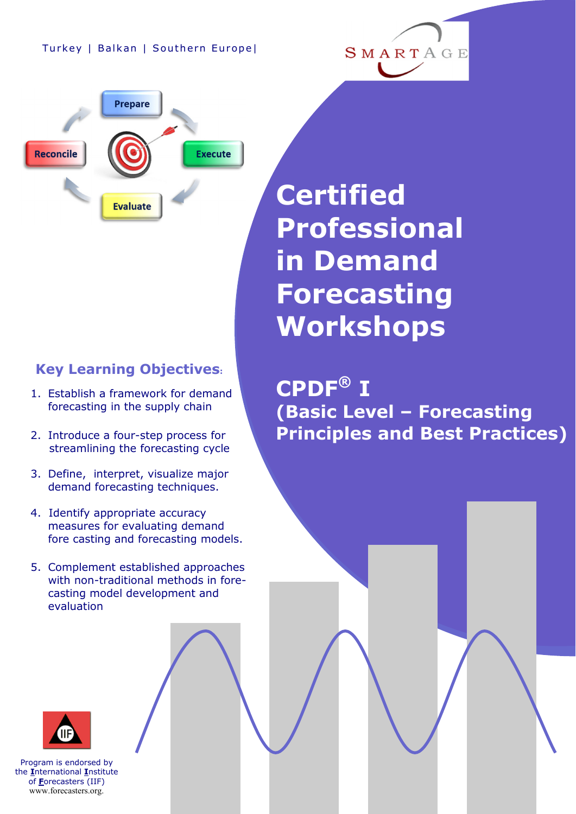**Prepare** 

**Evaluate** 

**Reconcile** 

**Execute** 

## **Key Learning Objectives:**

- 1. Establish a framework for demand forecasting in the supply chain
- 2. Introduce a four-step process for streamlining the forecasting cycle
- 3. Define, interpret, visualize major demand forecasting techniques.
- 4. Identify appropriate accuracy measures for evaluating demand fore casting and forecasting models.
- 5. Complement established approaches with non-traditional methods in forecasting model development and evaluation

**Certified Professional in Demand Forecasting Workshops**

**CPDF® I (Basic Level – Forecasting Principles and Best Practices)**



Program is endorsed by the **I**nternational **I**nstitute of **F**orecasters (IIF) www.forecasters.org.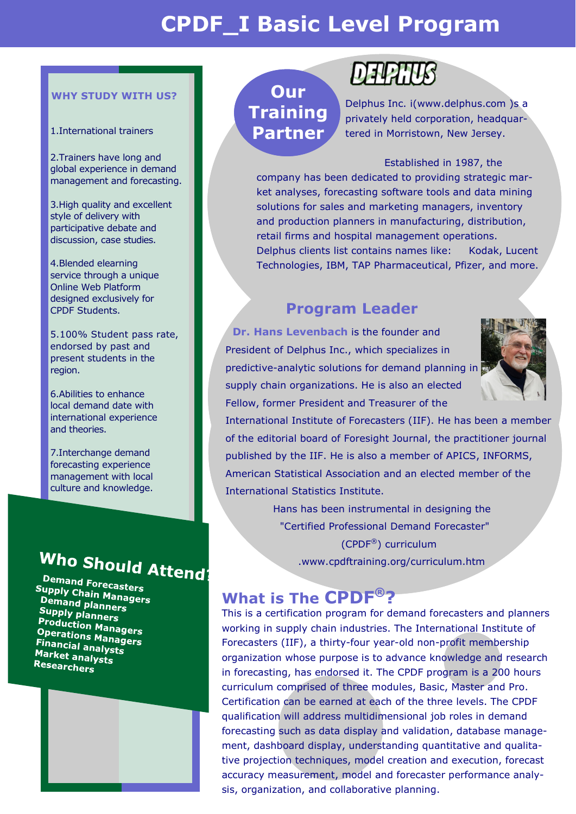## **CPDF\_I Basic Level Program**

#### **WHY STUDY WITH US?**

#### 1.International trainers

2.Trainers have long and global experience in demand management and forecasting.

3.High quality and excellent style of delivery with participative debate and discussion, case studies.

4.Blended elearning service through a unique Online Web Platform designed exclusively for CPDF Students.

5.100% Student pass rate, endorsed by past and present students in the region.

6.Abilities to enhance local demand date with international experience and theories.

7.Interchange demand forecasting experience management with local culture and knowledge.

# Who Should Attend

Demand Forecasters Supply Chain Managers<br>Demand planness **Teply Chain Mana**<br>Demand planners<br>Supply play Supply planners<br>Producti **Tapply planners<br>Production Managers<br>Operations Managers Conduction Managers<br>Operations Managers<br>Financial analytics Financial analysts**<br>Market analysts Market analysts Researchers



## **Our Training Partner**

## DEPERIS

Delphus Inc. i(www.delphus.com )s a privately held corporation, headquartered in Morristown, New Jersey.

#### Established in 1987, the

company has been dedicated to providing strategic market analyses, forecasting software tools and data mining solutions for sales and marketing managers, inventory and production planners in manufacturing, distribution, retail firms and hospital management operations. Delphus clients list contains names like: Kodak, Lucent Technologies, IBM, TAP Pharmaceutical, Pfizer, and more.

### **Program Leader**

 **Dr. Hans Levenbach** is the founder and President of Delphus Inc., which specializes in predictive-analytic solutions for demand planning in supply chain organizations. He is also an elected Fellow, former President and Treasurer of the



International Institute of Forecasters (IIF). He has been a member of the editorial board of Foresight Journal, the practitioner journal published by the IIF. He is also a member of APICS, INFORMS, American Statistical Association and an elected member of the International Statistics Institute.

> Hans has been instrumental in designing the "Certified Professional Demand Forecaster" (CPDF®) curriculum .www.cpdftraining.org/curriculum.htm

## **What is The CPDF®?**

This is a certification program for demand forecasters and planners working in supply chain industries. The International Institute of Forecasters (IIF), a thirty-four year-old non-profit membership organization whose purpose is to advance knowledge and research in forecasting, has endorsed it. The CPDF program is a 200 hours curriculum comprised of three modules, Basic, Master and Pro. Certification can be earned at each of the three levels. The CPDF qualification will address multidimensional job roles in demand forecasting such as data display and validation, database management, dashboard display, understanding quantitative and qualitative projection techniques, model creation and execution, forecast accuracy measurement, model and forecaster performance analysis, organization, and collaborative planning.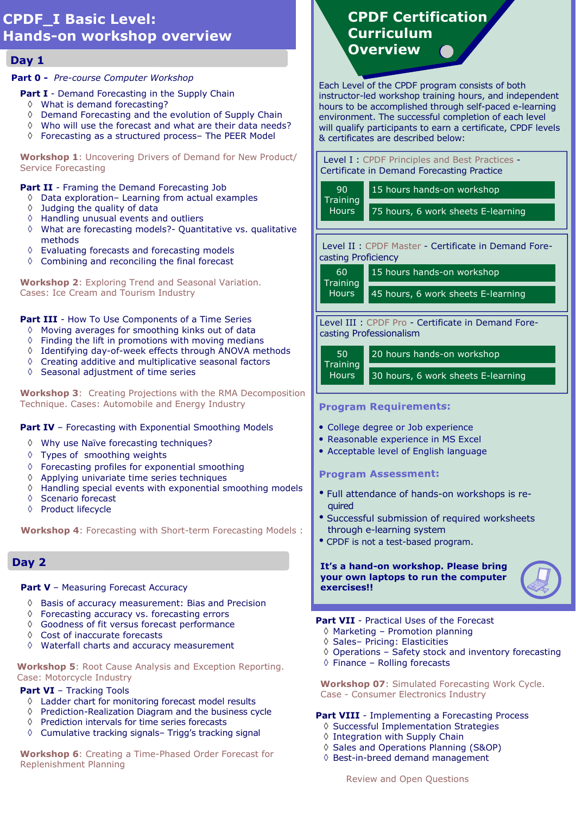#### **CPDF\_I Basic Level: Hands-on workshop overview**

#### **Day 1**

#### **Part 0 -** *Pre-course Computer Workshop*

#### **Part I** - Demand Forecasting in the Supply Chain

- ◊ What is demand forecasting?
- ◊ Demand Forecasting and the evolution of Supply Chain
- ◊ Who will use the forecast and what are their data needs?
- ◊ Forecasting as a structured process– The PEER Model

**Workshop 1**: Uncovering Drivers of Demand for New Product/ Service Forecasting

#### **Part II** - Framing the Demand Forecasting Job

- ◊ Data exploration– Learning from actual examples
- ◊ Judging the quality of data
- ◊ Handling unusual events and outliers
- ◊ What are forecasting models?- Quantitative vs. qualitative methods
- ◊ Evaluating forecasts and forecasting models
- ◊ Combining and reconciling the final forecast

**Workshop 2**: Exploring Trend and Seasonal Variation. Cases: Ice Cream and Tourism Industry

#### **Part III** - How To Use Components of a Time Series

- ◊ Moving averages for smoothing kinks out of data
- ◊ Finding the lift in promotions with moving medians
- ◊ Identifying day-of-week effects through ANOVA methods
- ◊ Creating additive and multiplicative seasonal factors
- ◊ Seasonal adjustment of time series

**Workshop 3**: Creating Projections with the RMA Decomposition Technique. Cases: Automobile and Energy Industry

#### **Part IV** – Forecasting with Exponential Smoothing Models

- ◊ Why use Naïve forecasting techniques?
- ◊ Types of smoothing weights
- ◊ Forecasting profiles for exponential smoothing
- ◊ Applying univariate time series techniques
- ◊ Handling special events with exponential smoothing models
- ◊ Scenario forecast
- ◊ Product lifecycle

**Workshop 4**: Forecasting with Short-term Forecasting Models :

#### **Day 2**

#### **Part V** – Measuring Forecast Accuracy

- ◊ Basis of accuracy measurement: Bias and Precision
- ◊ Forecasting accuracy vs. forecasting errors
- ◊ Goodness of fit versus forecast performance
- ◊ Cost of inaccurate forecasts
- ◊ Waterfall charts and accuracy measurement

 **Workshop 5**: Root Cause Analysis and Exception Reporting. Case: Motorcycle Industry

#### **Part VI** - Tracking Tools

- ◊ Ladder chart for monitoring forecast model results
- ◊ Prediction-Realization Diagram and the business cycle
- ◊ Prediction intervals for time series forecasts
- ◊ Cumulative tracking signals– Trigg's tracking signal

 **Workshop 6**: Creating a Time-Phased Order Forecast for Replenishment Planning

## **CPDF Certification Curriculum Overview**

Each Level of the CPDF program consists of both instructor-led workshop training hours, and independent hours to be accomplished through self-paced e-learning environment. The successful completion of each level will qualify participants to earn a certificate, CPDF levels & certificates are described below:

Level I : CPDF Principles and Best Practices - Certificate in Demand Forecasting Practice

| 90<br>Training<br>Hours | 15 h |
|-------------------------|------|
|                         | 75.  |

ours hands-on workshop

ours, 6 work sheets E-learning

Level II : CPDF Master - Certificate in Demand Forecasting Proficiency

15 hours hands-on workshop **Training** 

45 hours, 6 work sheets E-learning **Hours** 

Level III : CPDF Pro - Certificate in Demand Forecasting Professionalism

50 **Training Hours** 

60

20 hours hands-on workshop

30 hours, 6 work sheets E-learning

#### **Program Requirements:**

- College degree or Job experience
- Reasonable experience in MS Excel
- Acceptable level of English language

#### **Program Assessment:**

- Full attendance of hands-on workshops is required
- Successful submission of required worksheets through e-learning system
- CPDF is not a test-based program.

#### **It's a hand-on workshop. Please bring your own laptops to run the computer exercises!!**



**Part VII** - Practical Uses of the Forecast

- ◊ Marketing Promotion planning
- ◊ Sales– Pricing: Elasticities
- ◊ Operations Safety stock and inventory forecasting
- ◊ Finance Rolling forecasts

 **Workshop 07**: Simulated Forecasting Work Cycle. Case - Consumer Electronics Industry

#### **Part VIII** - Implementing a Forecasting Process

- ◊ Successful Implementation Strategies
- ◊ Integration with Supply Chain
- ◊ Sales and Operations Planning (S&OP)
- ◊ Best-in-breed demand management